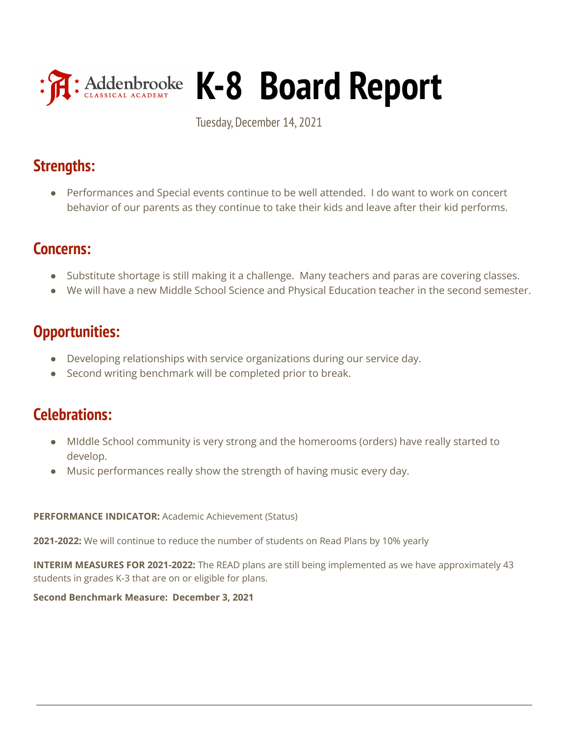

# **K-8 Board Report**

Tuesday, December 14, 2021

# **Strengths:**

● Performances and Special events continue to be well attended. I do want to work on concert behavior of our parents as they continue to take their kids and leave after their kid performs.

# **Concerns:**

- Substitute shortage is still making it a challenge. Many teachers and paras are covering classes.
- We will have a new Middle School Science and Physical Education teacher in the second semester.

# **Opportunities:**

- Developing relationships with service organizations during our service day.
- Second writing benchmark will be completed prior to break.

# **Celebrations:**

- MIddle School community is very strong and the homerooms (orders) have really started to develop.
- Music performances really show the strength of having music every day.

## **PERFORMANCE INDICATOR:** Academic Achievement (Status)

**2021-2022:** We will continue to reduce the number of students on Read Plans by 10% yearly

**INTERIM MEASURES FOR 2021-2022:** The READ plans are still being implemented as we have approximately 43 students in grades K-3 that are on or eligible for plans.

**Second Benchmark Measure: December 3, 2021**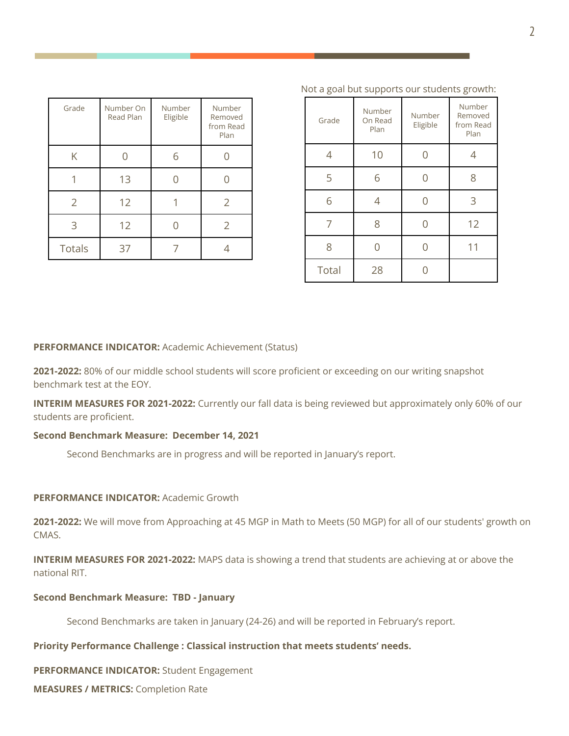| Grade         | Number On<br>Read Plan | Number<br>Eligible | Number<br>Removed<br>from Read<br>Plan |
|---------------|------------------------|--------------------|----------------------------------------|
| Κ             |                        | 6                  |                                        |
|               | 13                     |                    |                                        |
| 2             | 12                     |                    |                                        |
| ੨             | 12                     |                    | $\overline{2}$                         |
| <b>Totals</b> | 37                     |                    |                                        |

| Grade | Number<br>On Read<br>Plan | Number<br>Eligible | Number<br>Removed<br>from Read<br>Plan |
|-------|---------------------------|--------------------|----------------------------------------|
| 4     | 10                        |                    | 4                                      |
| 5     | 6                         |                    | 8                                      |
| 6     | 4                         |                    | 3                                      |
| 7     | 8                         |                    | 12                                     |
| 8     |                           |                    | 11                                     |
| Total | 28                        |                    |                                        |

#### Not a goal but supports our students growth:

#### **PERFORMANCE INDICATOR:** Academic Achievement (Status)

**2021-2022:** 80% of our middle school students will score proficient or exceeding on our writing snapshot benchmark test at the EOY.

**INTERIM MEASURES FOR 2021-2022:** Currently our fall data is being reviewed but approximately only 60% of our students are proficient.

#### **Second Benchmark Measure: December 14, 2021**

Second Benchmarks are in progress and will be reported in January's report.

#### **PERFORMANCE INDICATOR:** Academic Growth

**2021-2022:** We will move from Approaching at 45 MGP in Math to Meets (50 MGP) for all of our students' growth on CMAS.

**INTERIM MEASURES FOR 2021-2022:** MAPS data is showing a trend that students are achieving at or above the national RIT.

#### **Second Benchmark Measure: TBD - January**

Second Benchmarks are taken in January (24-26) and will be reported in February's report.

## **Priority Performance Challenge : Classical instruction that meets students' needs.**

**PERFORMANCE INDICATOR:** Student Engagement

**MEASURES / METRICS:** Completion Rate